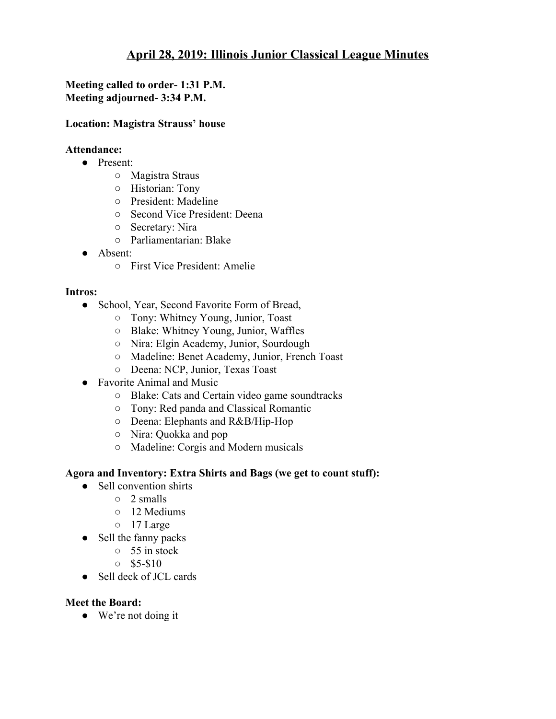# **April 28, 2019: Illinois Junior Classical League Minutes**

## **Meeting called to order- 1:31 P.M. Meeting adjourned- 3:34 P.M.**

#### **Location: Magistra Strauss' house**

#### **Attendance:**

- Present:
	- Magistra Straus
	- Historian: Tony
	- President: Madeline
	- Second Vice President: Deena
	- Secretary: Nira
	- Parliamentarian: Blake
- Absent:
	- First Vice President: Amelie

#### **Intros:**

- School, Year, Second Favorite Form of Bread,
	- Tony: Whitney Young, Junior, Toast
	- Blake: Whitney Young, Junior, Waffles
	- Nira: Elgin Academy, Junior, Sourdough
	- Madeline: Benet Academy, Junior, French Toast
	- Deena: NCP, Junior, Texas Toast
- Favorite Animal and Music
	- Blake: Cats and Certain video game soundtracks
	- Tony: Red panda and Classical Romantic
	- Deena: Elephants and R&B/Hip-Hop
	- Nira: Quokka and pop
	- Madeline: Corgis and Modern musicals

#### **Agora and Inventory: Extra Shirts and Bags (we get to count stuff):**

- Sell convention shirts
	- 2 smalls
	- 12 Mediums
	- 17 Large
- Sell the fanny packs
	- 55 in stock
	- $\circ$  \$5-\$10
- Sell deck of JCL cards

### **Meet the Board:**

● We're not doing it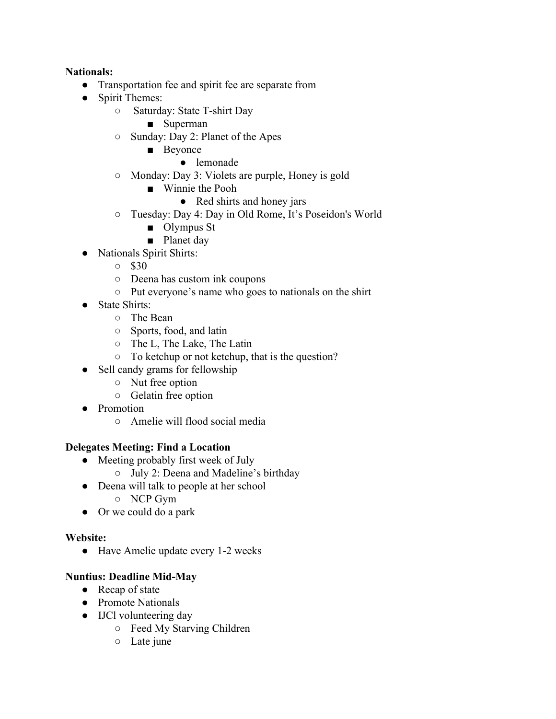### **Nationals:**

- Transportation fee and spirit fee are separate from
- Spirit Themes:
	- Saturday: State T-shirt Day
		- Superman
	- Sunday: Day 2: Planet of the Apes
		- Beyonce
			- lemonade
	- Monday: Day 3: Violets are purple, Honey is gold
		- Winnie the Pooh
			- Red shirts and honey jars
	- Tuesday: Day 4: Day in Old Rome, It's Poseidon's World
		- Olympus St
		- Planet day
- Nationals Spirit Shirts:
	- \$30
	- Deena has custom ink coupons
	- Put everyone's name who goes to nationals on the shirt
- State Shirts:
	- The Bean
	- Sports, food, and latin
	- The L, The Lake, The Latin
	- To ketchup or not ketchup, that is the question?
- Sell candy grams for fellowship
	- Nut free option
	- Gelatin free option
- Promotion
	- Amelie will flood social media

### **Delegates Meeting: Find a Location**

- Meeting probably first week of July
	- July 2: Deena and Madeline's birthday
- Deena will talk to people at her school
	- NCP Gym
- Or we could do a park

### **Website:**

● Have Amelie update every 1-2 weeks

## **Nuntius: Deadline Mid-May**

- Recap of state
- Promote Nationals
- IJCl volunteering day
	- Feed My Starving Children
	- Late june